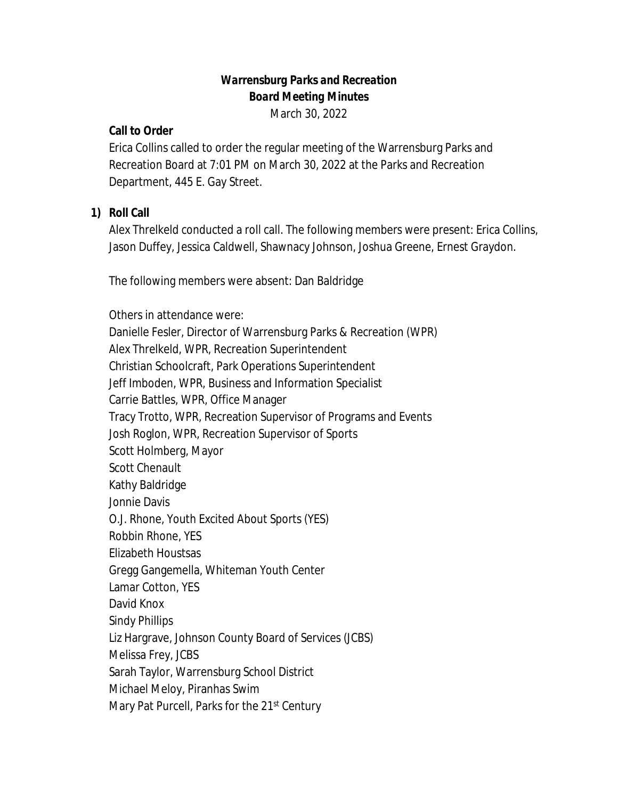# *Warrensburg Parks and Recreation Board Meeting Minutes*

March 30, 2022

### **Call to Order**

Erica Collins called to order the regular meeting of the Warrensburg Parks and Recreation Board at 7:01 PM on March 30, 2022 at the Parks and Recreation Department, 445 E. Gay Street.

# **1) Roll Call**

Alex Threlkeld conducted a roll call. The following members were present: Erica Collins, Jason Duffey, Jessica Caldwell, Shawnacy Johnson, Joshua Greene, Ernest Graydon.

The following members were absent: Dan Baldridge

Others in attendance were: Danielle Fesler, Director of Warrensburg Parks & Recreation (WPR) Alex Threlkeld, WPR, Recreation Superintendent Christian Schoolcraft, Park Operations Superintendent Jeff Imboden, WPR, Business and Information Specialist Carrie Battles, WPR, Office Manager Tracy Trotto, WPR, Recreation Supervisor of Programs and Events Josh Roglon, WPR, Recreation Supervisor of Sports Scott Holmberg, Mayor Scott Chenault Kathy Baldridge Jonnie Davis O.J. Rhone, Youth Excited About Sports (YES) Robbin Rhone, YES Elizabeth Houstsas Gregg Gangemella, Whiteman Youth Center Lamar Cotton, YES David Knox Sindy Phillips Liz Hargrave, Johnson County Board of Services (JCBS) Melissa Frey, JCBS Sarah Taylor, Warrensburg School District Michael Meloy, Piranhas Swim Mary Pat Purcell, Parks for the 21<sup>st</sup> Century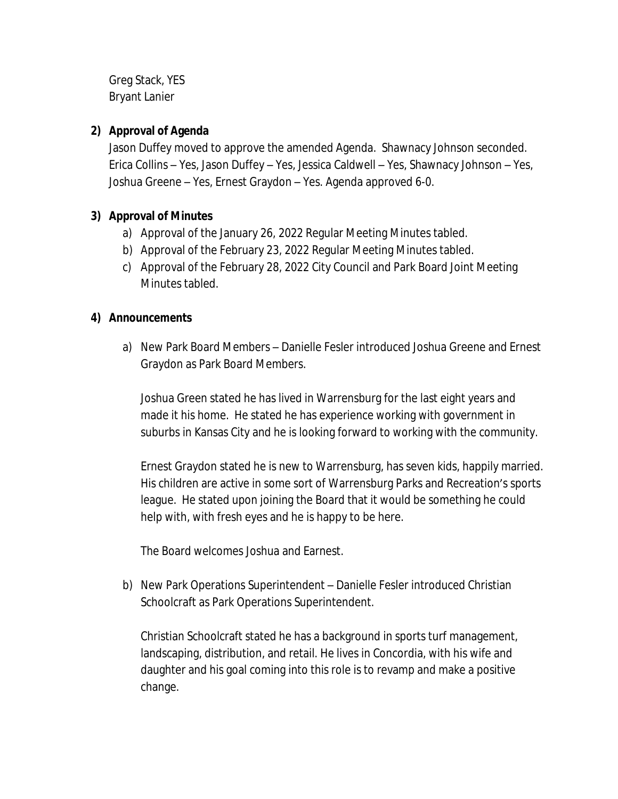Greg Stack, YES Bryant Lanier

# **2) Approval of Agenda**

Jason Duffey moved to approve the amended Agenda. Shawnacy Johnson seconded. Erica Collins – Yes, Jason Duffey – Yes, Jessica Caldwell – Yes, Shawnacy Johnson – Yes, Joshua Greene – Yes, Ernest Graydon – Yes. Agenda approved 6-0.

# **3) Approval of Minutes**

- a) Approval of the January 26, 2022 Regular Meeting Minutes tabled.
- b) Approval of the February 23, 2022 Regular Meeting Minutes tabled.
- c) Approval of the February 28, 2022 City Council and Park Board Joint Meeting Minutes tabled.

### **4) Announcements**

a) New Park Board Members – Danielle Fesler introduced Joshua Greene and Ernest Graydon as Park Board Members.

Joshua Green stated he has lived in Warrensburg for the last eight years and made it his home. He stated he has experience working with government in suburbs in Kansas City and he is looking forward to working with the community.

Ernest Graydon stated he is new to Warrensburg, has seven kids, happily married. His children are active in some sort of Warrensburg Parks and Recreation's sports league. He stated upon joining the Board that it would be something he could help with, with fresh eyes and he is happy to be here.

The Board welcomes Joshua and Earnest.

b) New Park Operations Superintendent – Danielle Fesler introduced Christian Schoolcraft as Park Operations Superintendent.

Christian Schoolcraft stated he has a background in sports turf management, landscaping, distribution, and retail. He lives in Concordia, with his wife and daughter and his goal coming into this role is to revamp and make a positive change.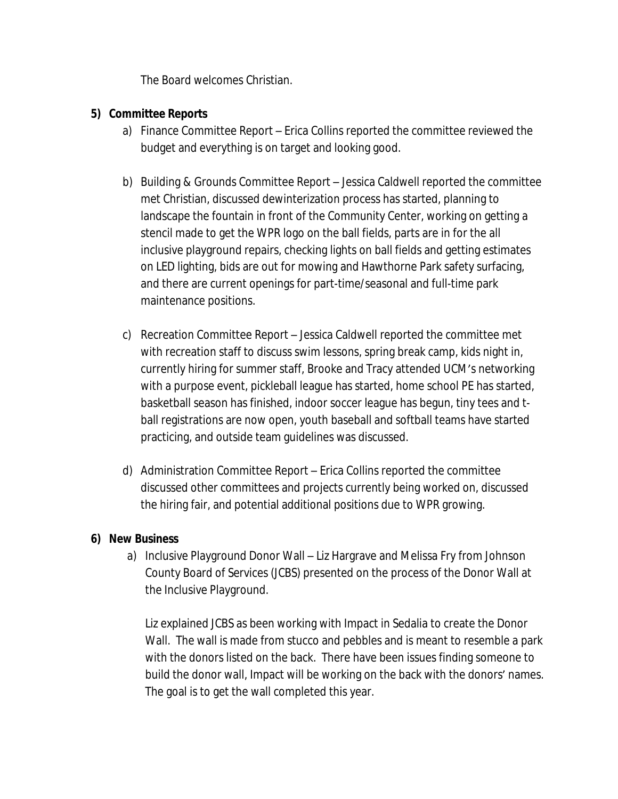The Board welcomes Christian.

### **5) Committee Reports**

- a) Finance Committee Report Erica Collins reported the committee reviewed the budget and everything is on target and looking good.
- b) Building & Grounds Committee Report Jessica Caldwell reported the committee met Christian, discussed dewinterization process has started, planning to landscape the fountain in front of the Community Center, working on getting a stencil made to get the WPR logo on the ball fields, parts are in for the all inclusive playground repairs, checking lights on ball fields and getting estimates on LED lighting, bids are out for mowing and Hawthorne Park safety surfacing, and there are current openings for part-time/seasonal and full-time park maintenance positions.
- c) Recreation Committee Report Jessica Caldwell reported the committee met with recreation staff to discuss swim lessons, spring break camp, kids night in, currently hiring for summer staff, Brooke and Tracy attended UCM's networking with a purpose event, pickleball league has started, home school PE has started, basketball season has finished, indoor soccer league has begun, tiny tees and tball registrations are now open, youth baseball and softball teams have started practicing, and outside team guidelines was discussed.
- d) Administration Committee Report Erica Collins reported the committee discussed other committees and projects currently being worked on, discussed the hiring fair, and potential additional positions due to WPR growing.

#### **6) New Business**

a) Inclusive Playground Donor Wall – Liz Hargrave and Melissa Fry from Johnson County Board of Services (JCBS) presented on the process of the Donor Wall at the Inclusive Playground.

Liz explained JCBS as been working with Impact in Sedalia to create the Donor Wall. The wall is made from stucco and pebbles and is meant to resemble a park with the donors listed on the back. There have been issues finding someone to build the donor wall, Impact will be working on the back with the donors' names. The goal is to get the wall completed this year.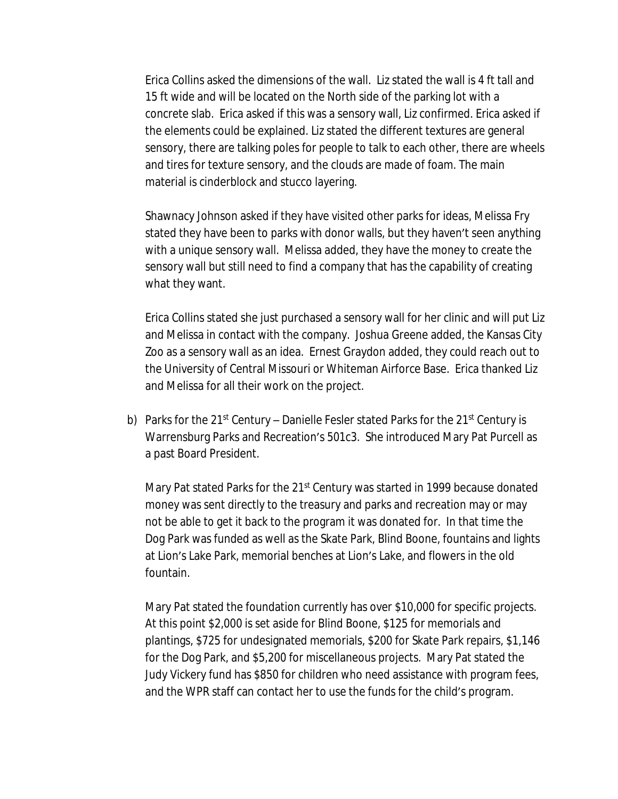Erica Collins asked the dimensions of the wall. Liz stated the wall is 4 ft tall and 15 ft wide and will be located on the North side of the parking lot with a concrete slab. Erica asked if this was a sensory wall, Liz confirmed. Erica asked if the elements could be explained. Liz stated the different textures are general sensory, there are talking poles for people to talk to each other, there are wheels and tires for texture sensory, and the clouds are made of foam. The main material is cinderblock and stucco layering.

Shawnacy Johnson asked if they have visited other parks for ideas, Melissa Fry stated they have been to parks with donor walls, but they haven't seen anything with a unique sensory wall. Melissa added, they have the money to create the sensory wall but still need to find a company that has the capability of creating what they want.

Erica Collins stated she just purchased a sensory wall for her clinic and will put Liz and Melissa in contact with the company. Joshua Greene added, the Kansas City Zoo as a sensory wall as an idea. Ernest Graydon added, they could reach out to the University of Central Missouri or Whiteman Airforce Base. Erica thanked Liz and Melissa for all their work on the project.

b) Parks for the 21st Century – Danielle Fesler stated Parks for the 21st Century is Warrensburg Parks and Recreation's 501c3. She introduced Mary Pat Purcell as a past Board President.

Mary Pat stated Parks for the 21<sup>st</sup> Century was started in 1999 because donated money was sent directly to the treasury and parks and recreation may or may not be able to get it back to the program it was donated for. In that time the Dog Park was funded as well as the Skate Park, Blind Boone, fountains and lights at Lion's Lake Park, memorial benches at Lion's Lake, and flowers in the old fountain.

Mary Pat stated the foundation currently has over \$10,000 for specific projects. At this point \$2,000 is set aside for Blind Boone, \$125 for memorials and plantings, \$725 for undesignated memorials, \$200 for Skate Park repairs, \$1,146 for the Dog Park, and \$5,200 for miscellaneous projects. Mary Pat stated the Judy Vickery fund has \$850 for children who need assistance with program fees, and the WPR staff can contact her to use the funds for the child's program.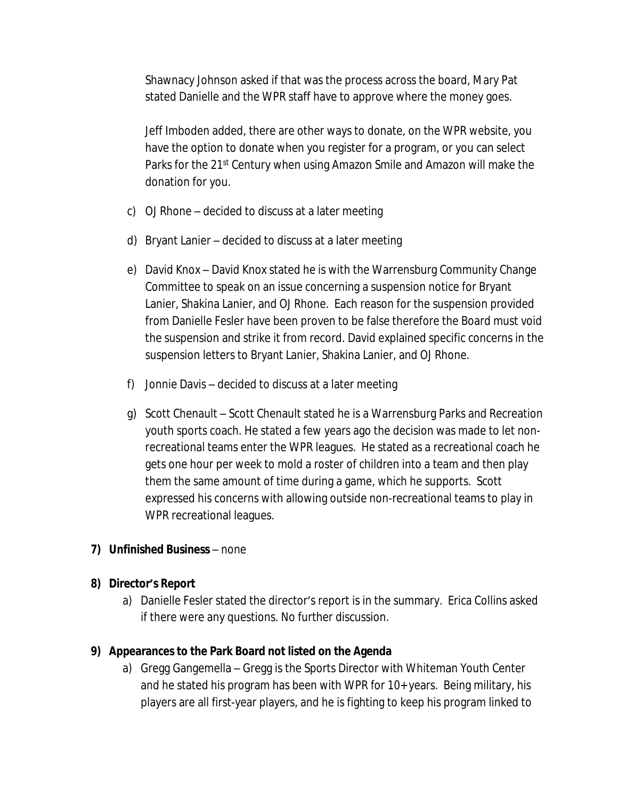Shawnacy Johnson asked if that was the process across the board, Mary Pat stated Danielle and the WPR staff have to approve where the money goes.

Jeff Imboden added, there are other ways to donate, on the WPR website, you have the option to donate when you register for a program, or you can select Parks for the 21<sup>st</sup> Century when using Amazon Smile and Amazon will make the donation for you.

- c) OJ Rhone decided to discuss at a later meeting
- d) Bryant Lanier decided to discuss at a later meeting
- e) David Knox David Knox stated he is with the Warrensburg Community Change Committee to speak on an issue concerning a suspension notice for Bryant Lanier, Shakina Lanier, and OJ Rhone. Each reason for the suspension provided from Danielle Fesler have been proven to be false therefore the Board must void the suspension and strike it from record. David explained specific concerns in the suspension letters to Bryant Lanier, Shakina Lanier, and OJ Rhone.
- f) Jonnie Davis decided to discuss at a later meeting
- g) Scott Chenault Scott Chenault stated he is a Warrensburg Parks and Recreation youth sports coach. He stated a few years ago the decision was made to let nonrecreational teams enter the WPR leagues. He stated as a recreational coach he gets one hour per week to mold a roster of children into a team and then play them the same amount of time during a game, which he supports. Scott expressed his concerns with allowing outside non-recreational teams to play in WPR recreational leagues.
- **7) Unfinished Business** none

### **8) Director's Report**

a) Danielle Fesler stated the director's report is in the summary. Erica Collins asked if there were any questions. No further discussion.

# **9) Appearances to the Park Board not listed on the Agenda**

a) Gregg Gangemella – Gregg is the Sports Director with Whiteman Youth Center and he stated his program has been with WPR for 10+ years. Being military, his players are all first-year players, and he is fighting to keep his program linked to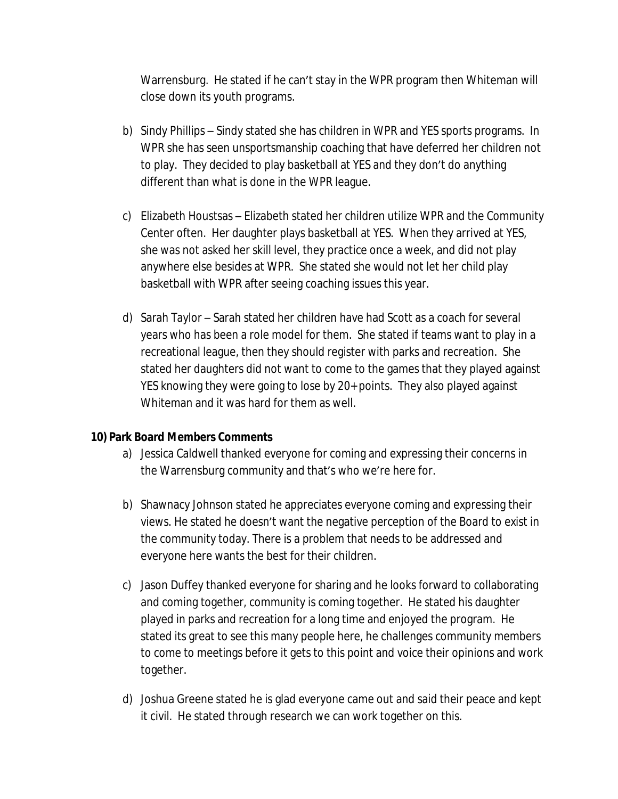Warrensburg. He stated if he can't stay in the WPR program then Whiteman will close down its youth programs.

- b) Sindy Phillips Sindy stated she has children in WPR and YES sports programs. In WPR she has seen unsportsmanship coaching that have deferred her children not to play. They decided to play basketball at YES and they don't do anything different than what is done in the WPR league.
- c) Elizabeth Houstsas Elizabeth stated her children utilize WPR and the Community Center often. Her daughter plays basketball at YES. When they arrived at YES, she was not asked her skill level, they practice once a week, and did not play anywhere else besides at WPR. She stated she would not let her child play basketball with WPR after seeing coaching issues this year.
- d) Sarah Taylor Sarah stated her children have had Scott as a coach for several years who has been a role model for them. She stated if teams want to play in a recreational league, then they should register with parks and recreation. She stated her daughters did not want to come to the games that they played against YES knowing they were going to lose by 20+ points. They also played against Whiteman and it was hard for them as well.

### **10) Park Board Members Comments**

- a) Jessica Caldwell thanked everyone for coming and expressing their concerns in the Warrensburg community and that's who we're here for.
- b) Shawnacy Johnson stated he appreciates everyone coming and expressing their views. He stated he doesn't want the negative perception of the Board to exist in the community today. There is a problem that needs to be addressed and everyone here wants the best for their children.
- c) Jason Duffey thanked everyone for sharing and he looks forward to collaborating and coming together, community is coming together. He stated his daughter played in parks and recreation for a long time and enjoyed the program. He stated its great to see this many people here, he challenges community members to come to meetings before it gets to this point and voice their opinions and work together.
- d) Joshua Greene stated he is glad everyone came out and said their peace and kept it civil. He stated through research we can work together on this.